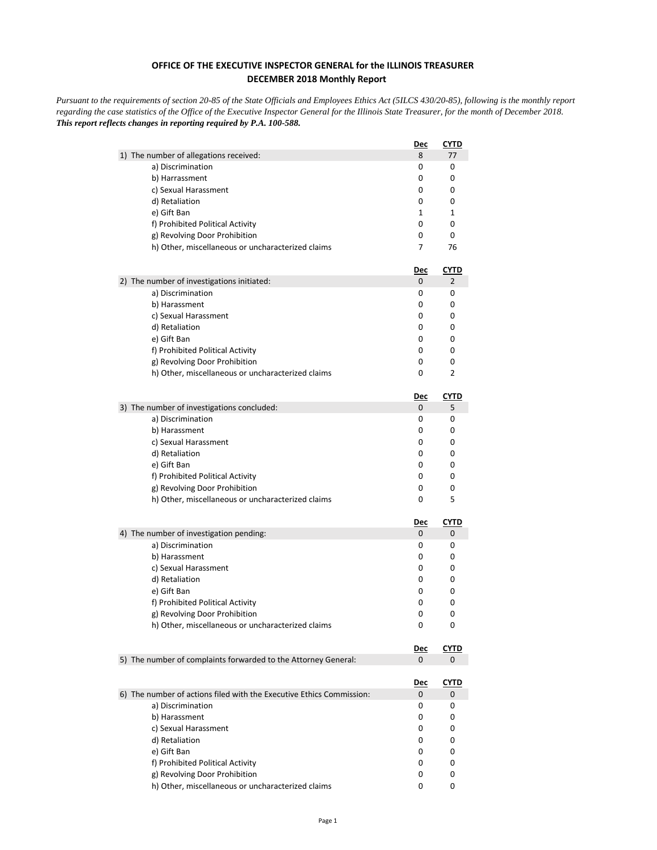## **OFFICE OF THE EXECUTIVE INSPECTOR GENERAL for the ILLINOIS TREASURER DECEMBER 2018 Monthly Report**

*Pursuant to the requirements of section 20-85 of the State Officials and Employees Ethics Act (5ILCS 430/20-85), following is the monthly report regarding the case statistics of the Office of the Executive Inspector General for the Illinois State Treasurer, for the month of December 2018. This report reflects changes in reporting required by P.A. 100-588.*

|                                                                      | <u>Dec</u> | <b>CYTD</b> |
|----------------------------------------------------------------------|------------|-------------|
| 1) The number of allegations received:                               | 8          | 77          |
| a) Discrimination                                                    | 0          | 0           |
| b) Harrassment                                                       | 0          | 0           |
| c) Sexual Harassment                                                 | 0          | 0           |
| d) Retaliation                                                       | 0          | 0           |
| e) Gift Ban                                                          | 1          | 1           |
| f) Prohibited Political Activity                                     | 0          | 0           |
| g) Revolving Door Prohibition                                        | 0          | 0           |
| h) Other, miscellaneous or uncharacterized claims                    | 7          | 76          |
|                                                                      | <u>Dec</u> | <u>CYTD</u> |
| 2) The number of investigations initiated:                           | 0          | 2           |
| a) Discrimination                                                    | 0          | 0           |
| b) Harassment                                                        | 0          | 0           |
| c) Sexual Harassment                                                 | 0          | 0           |
| d) Retaliation                                                       | 0          | 0           |
| e) Gift Ban                                                          | 0          | 0           |
| f) Prohibited Political Activity                                     | 0          | 0           |
| g) Revolving Door Prohibition                                        | 0          | 0           |
| h) Other, miscellaneous or uncharacterized claims                    | 0          | 2           |
|                                                                      | Dec        | CYTD        |
| 3) The number of investigations concluded:                           | 0          | 5           |
| a) Discrimination                                                    | 0          | 0           |
| b) Harassment                                                        | 0          | 0           |
| c) Sexual Harassment                                                 | 0          | 0           |
| d) Retaliation                                                       | 0          | 0           |
| e) Gift Ban                                                          | 0          | 0           |
| f) Prohibited Political Activity                                     | 0          | 0           |
| g) Revolving Door Prohibition                                        | 0          | 0           |
| h) Other, miscellaneous or uncharacterized claims                    | 0          | 5           |
|                                                                      | <u>Dec</u> | <u>CYTD</u> |
| 4) The number of investigation pending:                              | 0          | 0           |
| a) Discrimination                                                    | 0          | 0           |
| b) Harassment                                                        | 0          | 0           |
| c) Sexual Harassment                                                 | 0          | 0           |
| d) Retaliation                                                       | 0          | 0           |
| e) Gift Ban                                                          | 0          | 0           |
| f) Prohibited Political Activity                                     | 0          | 0           |
| g) Revolving Door Prohibition                                        | 0          | 0           |
| h) Other, miscellaneous or uncharacterized claims                    | 0          | 0           |
|                                                                      | <u>Dec</u> | <b>CYTD</b> |
| 5) The number of complaints forwarded to the Attorney General:       | 0          | 0           |
|                                                                      |            |             |
| 6) The number of actions filed with the Executive Ethics Commission: | <u>Dec</u> | <b>CYTD</b> |
|                                                                      | 0          | 0<br>0      |
| a) Discrimination                                                    | 0          |             |
| b) Harassment                                                        | 0<br>0     | 0<br>0      |
| c) Sexual Harassment                                                 | 0          |             |
| d) Retaliation<br>e) Gift Ban                                        |            | 0           |
| f) Prohibited Political Activity                                     | 0<br>0     | 0<br>0      |
| g) Revolving Door Prohibition                                        | 0          |             |
| h) Other, miscellaneous or uncharacterized claims                    | 0          | 0<br>0      |
|                                                                      |            |             |